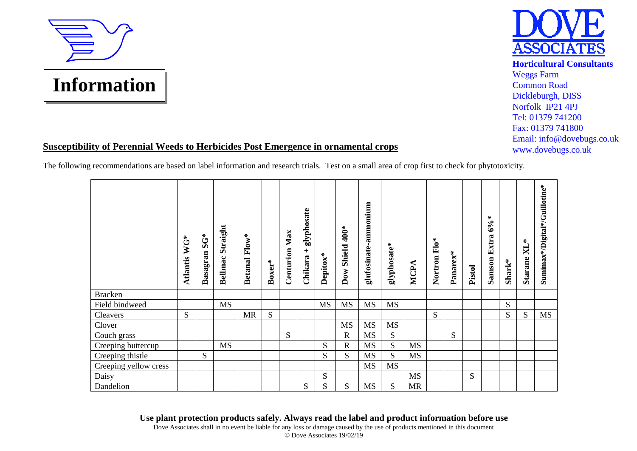



## Weggs Farm Common Road Dickleburgh, DISS Norfolk IP21 4PJ Tel: 01379 741200 Fax: 01379 741800 Email: info@dovebugs.co.uk www.dovebugs.co.uk

## **Susceptibility of Perennial Weeds to Herbicides Post Emergence in ornamental crops**

The following recommendations are based on label information and research trials. Test on a small area of crop first to check for phytotoxicity.

|                       | WG*<br>Atlantis | $S\ddot{G}^*$<br>Basagran | Straight<br>Bellmac | $Flow^*$<br><b>Betanal</b> | $Box^*$ | Max<br>Centurion | glyphosate<br>$\overline{+}$<br>Chikara | Depitox*  | $400*$<br>Shield<br>$\mathbf{Down}$ | glufosinate-ammonium | glyphosate* | MCPA      | $F10*$<br>Nortron | Panarex*  | Pistol | $6\% *$<br><b>Samson Extra</b> | Shark* | $\boldsymbol{\mathrm{NL}}^*$<br>Starane | Sumimax*/Digital*/Guillotine* |
|-----------------------|-----------------|---------------------------|---------------------|----------------------------|---------|------------------|-----------------------------------------|-----------|-------------------------------------|----------------------|-------------|-----------|-------------------|-----------|--------|--------------------------------|--------|-----------------------------------------|-------------------------------|
| <b>Bracken</b>        |                 |                           |                     |                            |         |                  |                                         |           |                                     |                      |             |           |                   |           |        |                                |        |                                         |                               |
| Field bindweed        |                 |                           | <b>MS</b>           |                            |         |                  |                                         | <b>MS</b> | <b>MS</b>                           | <b>MS</b>            | <b>MS</b>   |           |                   |           |        |                                | S      |                                         |                               |
| Cleavers              | S               |                           |                     | <b>MR</b>                  | S       |                  |                                         |           |                                     |                      |             |           | S                 |           |        |                                | S      | S                                       | <b>MS</b>                     |
| Clover                |                 |                           |                     |                            |         |                  |                                         |           | <b>MS</b>                           | <b>MS</b>            | MS          |           |                   |           |        |                                |        |                                         |                               |
| Couch grass           |                 |                           |                     |                            |         | S                |                                         |           | $\mathbb{R}$                        | <b>MS</b>            | ${\bf S}$   |           |                   | ${\bf S}$ |        |                                |        |                                         |                               |
| Creeping buttercup    |                 |                           | <b>MS</b>           |                            |         |                  |                                         | S         | $\mathbf R$                         | MS                   | ${\bf S}$   | <b>MS</b> |                   |           |        |                                |        |                                         |                               |
| Creeping thistle      |                 | S                         |                     |                            |         |                  |                                         | S         | S                                   | <b>MS</b>            | S           | <b>MS</b> |                   |           |        |                                |        |                                         |                               |
| Creeping yellow cress |                 |                           |                     |                            |         |                  |                                         |           |                                     | <b>MS</b>            | MS          |           |                   |           |        |                                |        |                                         |                               |
| Daisy                 |                 |                           |                     |                            |         |                  |                                         | S         |                                     |                      |             | <b>MS</b> |                   |           | S      |                                |        |                                         |                               |
| Dandelion             |                 |                           |                     |                            |         |                  | S                                       | S         | S                                   | <b>MS</b>            | S           | <b>MR</b> |                   |           |        |                                |        |                                         |                               |

**Use plant protection products safely. Always read the label and product information before use**

Dove Associates shall in no event be liable for any loss or damage caused by the use of products mentioned in this document © Dove Associates 19/02/19